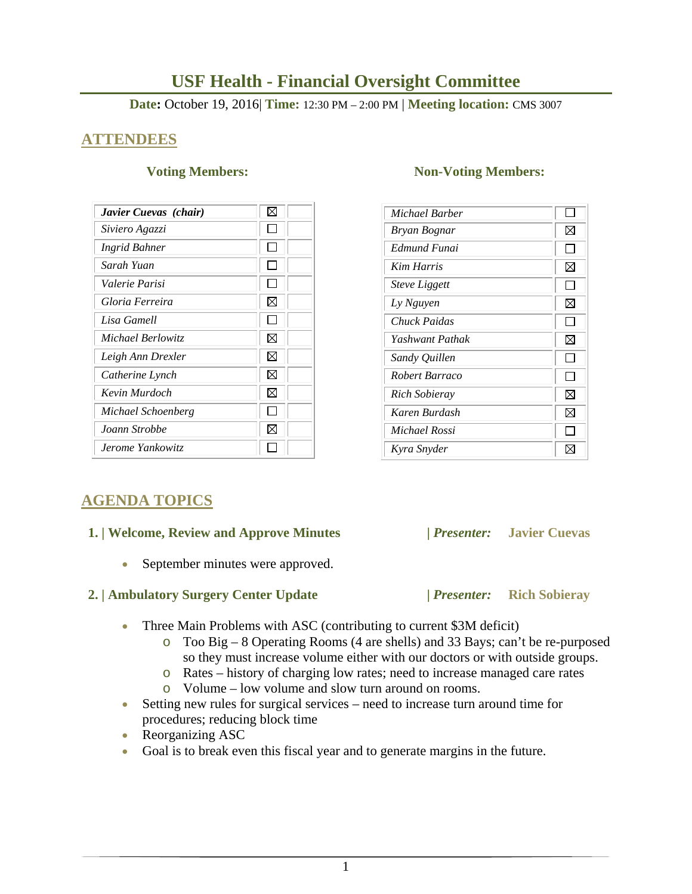# **USF Health - Financial Oversight Committee**

**Date:** October 19, 2016| **Time:** 12:30 PM – 2:00 PM | **Meeting location:** CMS 3007

## **ATTENDEES**

| Javier Cuevas (chair) |   |
|-----------------------|---|
| Siviero Agazzi        |   |
| <b>Ingrid Bahner</b>  |   |
| Sarah Yuan            |   |
| Valerie Parisi        |   |
| Gloria Ferreira       | ⊠ |
| Lisa Gamell           |   |
| Michael Berlowitz     | ⊠ |
| Leigh Ann Drexler     | ⊠ |
| Catherine Lynch       | ⊠ |
| Kevin Murdoch         | ⊠ |
| Michael Schoenberg    |   |
| Joann Strobbe         | ⋈ |
| Jerome Yankowitz      |   |

### **Voting Members:** Non-Voting Members:

| Michael Barber              |    |
|-----------------------------|----|
| Bryan Bognar                | ⊠  |
| Edmund Funai                |    |
| <b>Kim Harris</b>           | ⊠  |
| <i><b>Steve Liggett</b></i> |    |
| Ly Nguyen                   | ⊠  |
| Chuck Paidas                |    |
| Yashwant Pathak             | ⊠  |
| Sandy Quillen               | ΙI |
| Robert Barraco              |    |
| Rich Sobieray               | ⊠  |
| Karen Burdash               | ⊠  |
| Michael Rossi               |    |
| Kyra Snyder                 |    |

# **AGENDA TOPICS**

### **1. | Welcome, Review and Approve Minutes****|** *Presenter:* **Javier Cuevas**

• September minutes were approved.

### **2. | Ambulatory Surgery Center Update |** *Presenter:* **Rich Sobieray**

- 
- Three Main Problems with ASC (contributing to current \$3M deficit)
	- o Too Big 8 Operating Rooms (4 are shells) and 33 Bays; can't be re-purposed so they must increase volume either with our doctors or with outside groups.
	- o Rates history of charging low rates; need to increase managed care rates
	- o Volume low volume and slow turn around on rooms.
- Setting new rules for surgical services need to increase turn around time for procedures; reducing block time
- Reorganizing ASC
- Goal is to break even this fiscal year and to generate margins in the future.